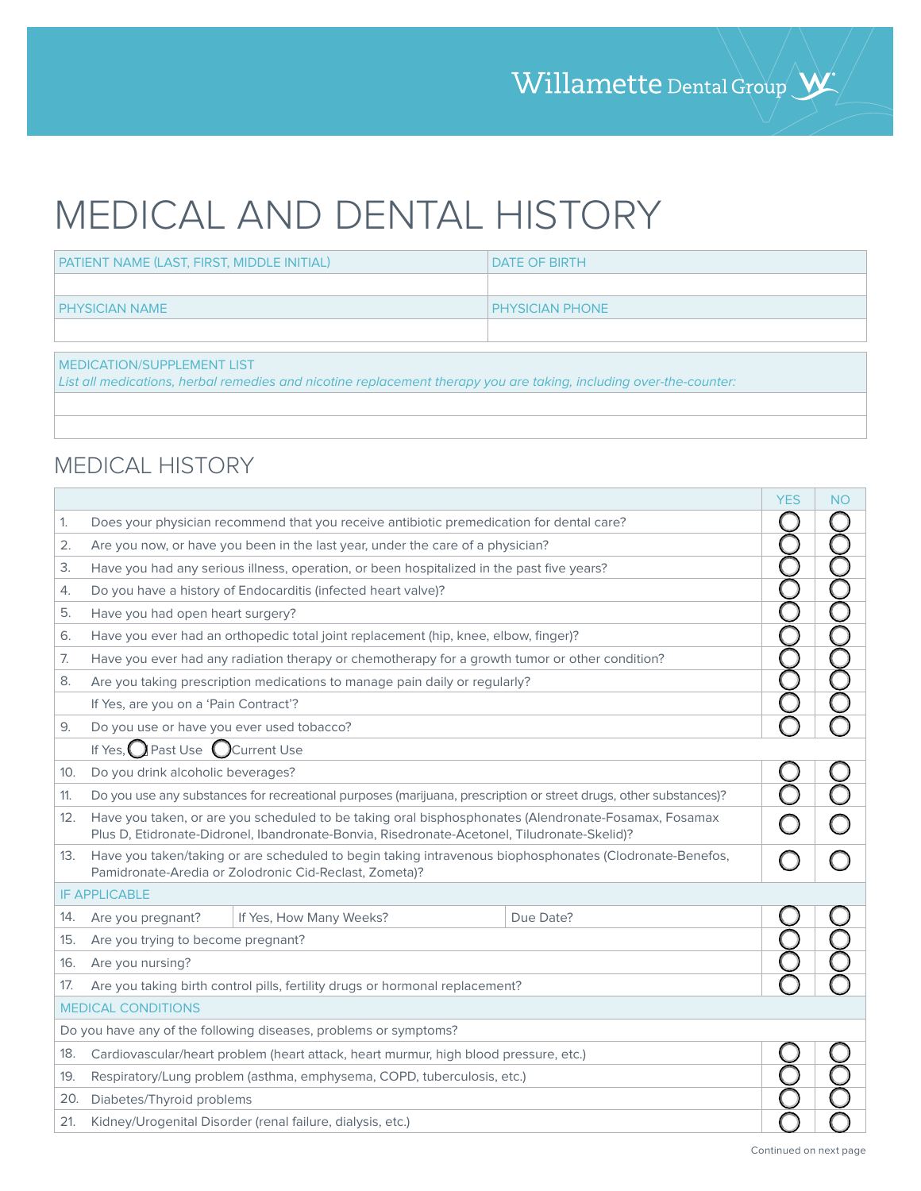## MEDICAL AND DENTAL HISTORY

| PATIENT NAME (LAST, FIRST, MIDDLE INITIAL) | <b>I DATE OF BIRTH</b> |
|--------------------------------------------|------------------------|
|                                            |                        |
| <b>I PHYSICIAN NAME</b>                    | <b>PHYSICIAN PHONE</b> |
|                                            |                        |

MEDICATION/SUPPLEMENT LIST

List all medications, herbal remedies and nicotine replacement therapy you are taking, including over-the-counter:

## MEDICAL HISTORY

|                                                                  |                                                                                                                                                                                                     | <b>YES</b> | <b>NO</b> |  |
|------------------------------------------------------------------|-----------------------------------------------------------------------------------------------------------------------------------------------------------------------------------------------------|------------|-----------|--|
| 1.                                                               | Does your physician recommend that you receive antibiotic premedication for dental care?                                                                                                            |            |           |  |
| 2.                                                               | Are you now, or have you been in the last year, under the care of a physician?                                                                                                                      |            |           |  |
| 3.                                                               | Have you had any serious illness, operation, or been hospitalized in the past five years?                                                                                                           |            |           |  |
| 4.                                                               | Do you have a history of Endocarditis (infected heart valve)?                                                                                                                                       |            |           |  |
| 5.                                                               | Have you had open heart surgery?                                                                                                                                                                    |            |           |  |
| 6.                                                               | Have you ever had an orthopedic total joint replacement (hip, knee, elbow, finger)?                                                                                                                 |            |           |  |
| 7.                                                               | Have you ever had any radiation therapy or chemotherapy for a growth tumor or other condition?                                                                                                      |            |           |  |
| 8.                                                               | Are you taking prescription medications to manage pain daily or regularly?                                                                                                                          |            |           |  |
|                                                                  | If Yes, are you on a 'Pain Contract'?                                                                                                                                                               |            |           |  |
| 9.                                                               | Do you use or have you ever used tobacco?                                                                                                                                                           |            |           |  |
| If Yes, $\bigcap$ Past Use $\bigcap$ Current Use                 |                                                                                                                                                                                                     |            |           |  |
| 10.                                                              | Do you drink alcoholic beverages?                                                                                                                                                                   |            |           |  |
| 11.                                                              | Do you use any substances for recreational purposes (marijuana, prescription or street drugs, other substances)?                                                                                    |            |           |  |
| 12.                                                              | Have you taken, or are you scheduled to be taking oral bisphosphonates (Alendronate-Fosamax, Fosamax<br>Plus D, Etidronate-Didronel, Ibandronate-Bonvia, Risedronate-Acetonel, Tiludronate-Skelid)? |            |           |  |
| 13.                                                              | Have you taken/taking or are scheduled to begin taking intravenous biophosphonates (Clodronate-Benefos,<br>Pamidronate-Aredia or Zolodronic Cid-Reclast, Zometa)?                                   |            |           |  |
|                                                                  | <b>IF APPLICABLE</b>                                                                                                                                                                                |            |           |  |
| 14.                                                              | If Yes, How Many Weeks?<br>Due Date?<br>Are you pregnant?                                                                                                                                           |            |           |  |
| 15.                                                              | Are you trying to become pregnant?                                                                                                                                                                  |            |           |  |
| 16.                                                              | Are you nursing?                                                                                                                                                                                    |            |           |  |
| 17.                                                              | Are you taking birth control pills, fertility drugs or hormonal replacement?                                                                                                                        |            |           |  |
|                                                                  | <b>MEDICAL CONDITIONS</b>                                                                                                                                                                           |            |           |  |
| Do you have any of the following diseases, problems or symptoms? |                                                                                                                                                                                                     |            |           |  |
| 18.                                                              | Cardiovascular/heart problem (heart attack, heart murmur, high blood pressure, etc.)                                                                                                                |            |           |  |
| 19.                                                              | Respiratory/Lung problem (asthma, emphysema, COPD, tuberculosis, etc.)                                                                                                                              |            |           |  |
|                                                                  | Diabetes/Thyroid problems<br>20.                                                                                                                                                                    |            |           |  |
| 21.                                                              | Kidney/Urogenital Disorder (renal failure, dialysis, etc.)                                                                                                                                          |            |           |  |